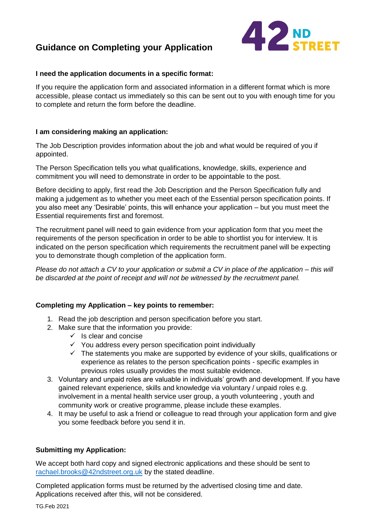# **Guidance on Completing your Application**



#### **I need the application documents in a specific format:**

If you require the application form and associated information in a different format which is more accessible, please contact us immediately so this can be sent out to you with enough time for you to complete and return the form before the deadline.

#### **I am considering making an application:**

The Job Description provides information about the job and what would be required of you if appointed.

The Person Specification tells you what qualifications, knowledge, skills, experience and commitment you will need to demonstrate in order to be appointable to the post.

Before deciding to apply, first read the Job Description and the Person Specification fully and making a judgement as to whether you meet each of the Essential person specification points. If you also meet any 'Desirable' points, this will enhance your application – but you must meet the Essential requirements first and foremost.

The recruitment panel will need to gain evidence from your application form that you meet the requirements of the person specification in order to be able to shortlist you for interview. It is indicated on the person specification which requirements the recruitment panel will be expecting you to demonstrate though completion of the application form.

*Please do not attach a CV to your application or submit a CV in place of the application – this will be discarded at the point of receipt and will not be witnessed by the recruitment panel.* 

# **Completing my Application – key points to remember:**

- 1. Read the job description and person specification before you start.
- 2. Make sure that the information you provide:
	- $\checkmark$  Is clear and concise
	- $\checkmark$  You address every person specification point individually
	- $\checkmark$  The statements you make are supported by evidence of your skills, qualifications or experience as relates to the person specification points - specific examples in previous roles usually provides the most suitable evidence.
- 3. Voluntary and unpaid roles are valuable in individuals' growth and development. If you have gained relevant experience, skills and knowledge via voluntary / unpaid roles e.g. involvement in a mental health service user group, a youth volunteering , youth and community work or creative programme, please include these examples.
- 4. It may be useful to ask a friend or colleague to read through your application form and give you some feedback before you send it in.

#### **Submitting my Application:**

We accept both hard copy and signed electronic applications and these should be sent to [rachael.brooks@42ndstreet.org.uk](mailto:rachael.brooks@42ndstreet.org.uk) by the stated deadline.

Completed application forms must be returned by the advertised closing time and date. Applications received after this, will not be considered.